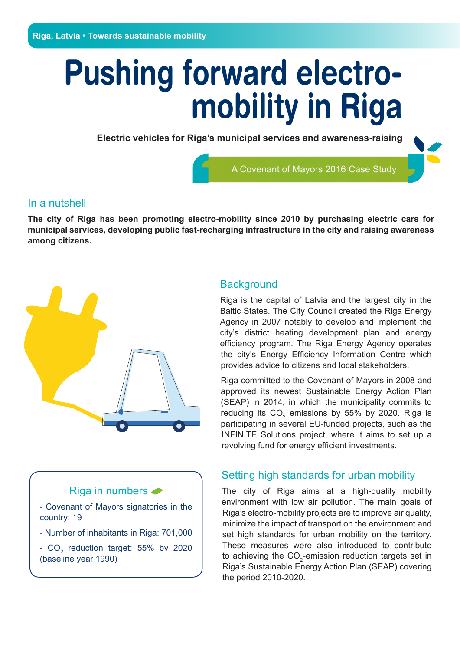# **Pushing forward electromobility in Riga**

**Electric vehicles for Riga's municipal services and awareness-raising**

A Covenant of Mayors 2016 Case Study

### In a nutshell

**The city of Riga has been promoting electro-mobility since 2010 by purchasing electric cars for municipal services, developing public fast-recharging infrastructure in the city and raising awareness among citizens.** 



### Riga in numbers  $\bullet$

- Covenant of Mayors signatories in the country: 19
- Number of inhabitants in Riga: 701,000
- $CO<sub>2</sub>$  reduction target: 55% by 2020 (baseline year 1990)

### **Background**

Riga is the capital of Latvia and the largest city in the Baltic States. The City Council created the Riga Energy Agency in 2007 notably to develop and implement the city's district heating development plan and energy efficiency program. The Riga Energy Agency operates the city's Energy Efficiency Information Centre which provides advice to citizens and local stakeholders.

Riga committed to the Covenant of Mayors in 2008 and approved its newest Sustainable Energy Action Plan (SEAP) in 2014, in which the municipality commits to reducing its  $CO_2$  emissions by 55% by 2020. Riga is participating in several EU-funded projects, such as the INFINITE Solutions project, where it aims to set up a revolving fund for energy efficient investments.

## Setting high standards for urban mobility

The city of Riga aims at a high-quality mobility environment with low air pollution. The main goals of Riga's electro-mobility projects are to improve air quality, minimize the impact of transport on the environment and set high standards for urban mobility on the territory. These measures were also introduced to contribute to achieving the  $\text{CO}_2$ -emission reduction targets set in Riga's Sustainable Energy Action Plan (SEAP) covering the period 2010-2020.